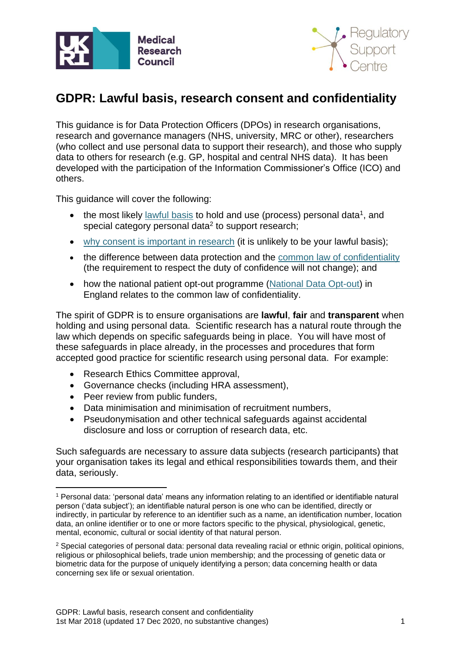



# **GDPR: Lawful basis, research consent and confidentiality**

This guidance is for Data Protection Officers (DPOs) in research organisations, research and governance managers (NHS, university, MRC or other), researchers (who collect and use personal data to support their research), and those who supply data to others for research (e.g. GP, hospital and central NHS data). It has been developed with the participation of the Information Commissioner's Office (ICO) and others.

This guidance will cover the following:

- the most likely [lawful basis](#page-1-0) to hold and use (process) personal data<sup>1</sup>, and special category personal data<sup>2</sup> to support research;
- [why consent is important in research](#page-2-0) (it is unlikely to be your lawful basis):
- the difference between data protection and the [common law of confidentiality](#page-3-0) (the requirement to respect the duty of confidence will not change); and
- how the national patient opt-out programme [\(National Data Opt-out\)](#page-5-0) in England relates to the common law of confidentiality.

<span id="page-0-0"></span>The spirit of GDPR is to ensure organisations are **lawful**, **fair** and **transparent** when holding and using personal data. Scientific research has a natural route through the law which depends on specific safeguards being in place. You will have most of these safeguards in place already, in the processes and procedures that form accepted good practice for scientific research using personal data. For example:

- Research Ethics Committee approval,
- Governance checks (including HRA assessment),
- Peer review from public funders.
- Data minimisation and minimisation of recruitment numbers,
- Pseudonymisation and other technical safeguards against accidental disclosure and loss or corruption of research data, etc.

Such safeguards are necessary to assure data subjects (research participants) that your organisation takes its legal and ethical responsibilities towards them, and their data, seriously.

<sup>1</sup> Personal data: 'personal data' means any information relating to an identified or identifiable natural person ('data subject'); an identifiable natural person is one who can be identified, directly or indirectly, in particular by reference to an identifier such as a name, an identification number, location data, an online identifier or to one or more factors specific to the physical, physiological, genetic, mental, economic, cultural or social identity of that natural person.

<sup>&</sup>lt;sup>2</sup> Special categories of personal data: personal data revealing racial or ethnic origin, political opinions, religious or philosophical beliefs, trade union membership; and the processing of genetic data or biometric data for the purpose of uniquely identifying a person; data concerning health or data concerning sex life or sexual orientation.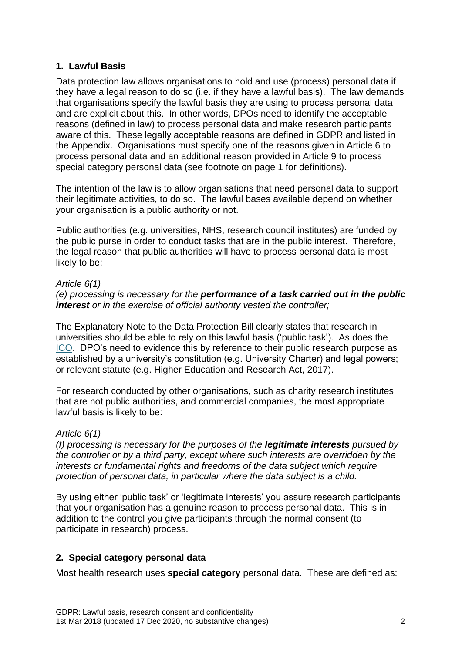## <span id="page-1-0"></span>**1. Lawful Basis**

Data protection law allows organisations to hold and use (process) personal data if they have a legal reason to do so (i.e. if they have a lawful basis). The law demands that organisations specify the lawful basis they are using to process personal data and are explicit about this. In other words, DPOs need to identify the acceptable reasons (defined in law) to process personal data and make research participants aware of this. These legally acceptable reasons are defined in GDPR and listed in the Appendix. Organisations must specify one of the reasons given in Article 6 to process personal data and an additional reason provided in Article 9 to process special category personal data (see footnote on page 1 for definitions).

The intention of the law is to allow organisations that need personal data to support their legitimate activities, to do so. The lawful bases available depend on whether your organisation is a public authority or not.

Public authorities (e.g. universities, NHS, research council institutes) are funded by the public purse in order to conduct tasks that are in the public interest. Therefore, the legal reason that public authorities will have to process personal data is most likely to be:

#### *Article 6(1)*

## *(e) processing is necessary for the performance of a task carried out in the public interest or in the exercise of official authority vested the controller;*

The Explanatory Note to the Data Protection Bill clearly states that research in universities should be able to rely on this lawful basis ('public task'). As does the [ICO.](https://ico.org.uk/for-organisations/guide-to-data-protection/guide-to-the-general-data-protection-regulation-gdpr/lawful-basis-for-processing/#different) DPO's need to evidence this by reference to their public research purpose as established by a university's constitution (e.g. University Charter) and legal powers; or relevant statute (e.g. Higher Education and Research Act, 2017).

For research conducted by other organisations, such as charity research institutes that are not public authorities, and commercial companies, the most appropriate lawful basis is likely to be:

## *Article 6(1)*

*(f) processing is necessary for the purposes of the legitimate interests pursued by the controller or by a third party, except where such interests are overridden by the interests or fundamental rights and freedoms of the data subject which require protection of personal data, in particular where the data subject is a child.*

By using either 'public task' or 'legitimate interests' you assure research participants that your organisation has a genuine reason to process personal data. This is in addition to the control you give participants through the normal consent (to participate in research) process.

## **2. Special category personal data**

Most health research uses **special category** personal data. These are defined as: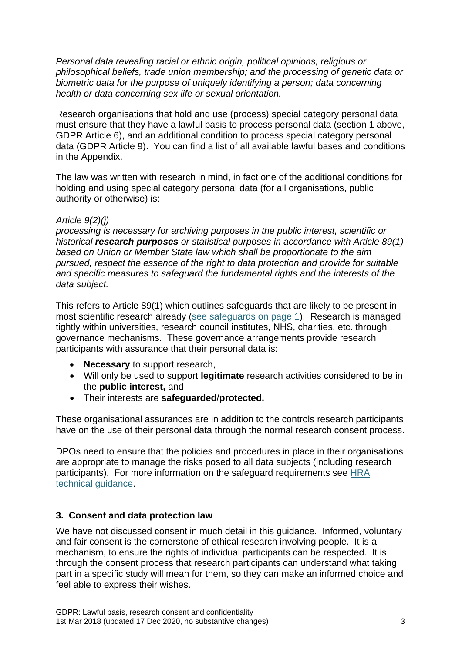*Personal data revealing racial or ethnic origin, political opinions, religious or philosophical beliefs, trade union membership; and the processing of genetic data or biometric data for the purpose of uniquely identifying a person; data concerning health or data concerning sex life or sexual orientation.*

Research organisations that hold and use (process) special category personal data must ensure that they have a lawful basis to process personal data (section 1 above, GDPR Article 6), and an additional condition to process special category personal data (GDPR Article 9). You can find a list of all available lawful bases and conditions in the Appendix.

<span id="page-2-0"></span>The law was written with research in mind, in fact one of the additional conditions for holding and using special category personal data (for all organisations, public authority or otherwise) is:

#### *Article 9(2)(j)*

*processing is necessary for archiving purposes in the public interest, scientific or historical research purposes or statistical purposes in accordance with Article 89(1) based on Union or Member State law which shall be proportionate to the aim pursued, respect the essence of the right to data protection and provide for suitable and specific measures to safeguard the fundamental rights and the interests of the data subject.*

This refers to Article 89(1) which outlines safeguards that are likely to be present in most scientific research already [\(see safeguards on page 1\).](#page-0-0) Research is managed tightly within universities, research council institutes, NHS, charities, etc. through governance mechanisms. These governance arrangements provide research participants with assurance that their personal data is:

- **Necessary** to support research,
- Will only be used to support **legitimate** research activities considered to be in the **public interest,** and
- Their interests are **safeguarded**/**protected.**

These organisational assurances are in addition to the controls research participants have on the use of their personal data through the normal research consent process.

DPOs need to ensure that the policies and procedures in place in their organisations are appropriate to manage the risks posed to all data subjects (including research participants). For more information on the safeguard requirements see [HRA](https://www.hra.nhs.uk/planning-and-improving-research/policies-standards-legislation/data-protection-and-information-governance/gdpr-detailed-guidance/)  [technical guidance.](https://www.hra.nhs.uk/planning-and-improving-research/policies-standards-legislation/data-protection-and-information-governance/gdpr-detailed-guidance/)

## **3. Consent and data protection law**

We have not discussed consent in much detail in this guidance. Informed, voluntary and fair consent is the cornerstone of ethical research involving people. It is a mechanism, to ensure the rights of individual participants can be respected. It is through the consent process that research participants can understand what taking part in a specific study will mean for them, so they can make an informed choice and feel able to express their wishes.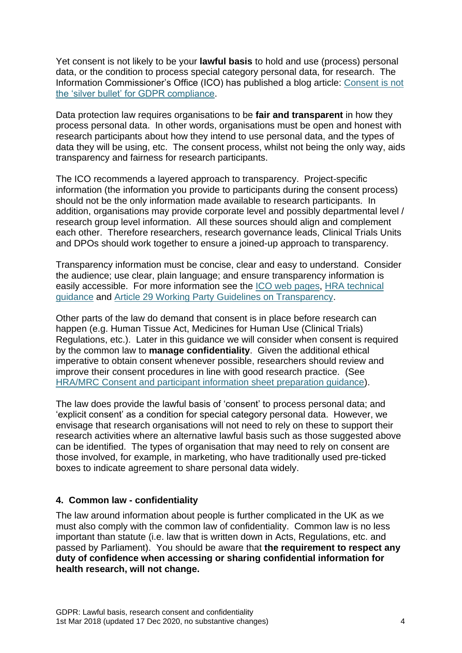<span id="page-3-1"></span>Yet consent is not likely to be your **lawful basis** to hold and use (process) personal data, or the condition to process special category personal data, for research. The Information Commissioner's Office (ICO) has published a blog article: [Consent is not](https://ico.org.uk/about-the-ico/news-and-events/blog-consent-is-not-the-silver-bullet-for-gdpr-compliance/)  [the 'silver bullet' for GDPR compliance.](https://ico.org.uk/about-the-ico/news-and-events/blog-consent-is-not-the-silver-bullet-for-gdpr-compliance/)

Data protection law requires organisations to be **fair and transparent** in how they process personal data. In other words, organisations must be open and honest with research participants about how they intend to use personal data, and the types of data they will be using, etc. The consent process, whilst not being the only way, aids transparency and fairness for research participants.

The ICO recommends a layered approach to transparency. Project-specific information (the information you provide to participants during the consent process) should not be the only information made available to research participants. In addition, organisations may provide corporate level and possibly departmental level / research group level information. All these sources should align and complement each other. Therefore researchers, research governance leads, Clinical Trials Units and DPOs should work together to ensure a joined-up approach to transparency.

<span id="page-3-0"></span>Transparency information must be concise, clear and easy to understand. Consider the audience; use clear, plain language; and ensure transparency information is easily accessible. For more information see the [ICO web pages,](https://ico.org.uk/for-organisations/guide-to-the-general-data-protection-regulation-gdpr/) [HRA technical](https://www.hra.nhs.uk/planning-and-improving-research/policies-standards-legislation/data-protection-and-information-governance/gdpr-detailed-guidance/)  [guidance](https://www.hra.nhs.uk/planning-and-improving-research/policies-standards-legislation/data-protection-and-information-governance/gdpr-detailed-guidance/) and [Article 29 Working Party Guidelines on Transparency.](http://ec.europa.eu/newsroom/article29/item-detail.cfm?item_id=622227)

Other parts of the law do demand that consent is in place before research can happen (e.g. Human Tissue Act, Medicines for Human Use (Clinical Trials) Regulations, etc.). Later in this guidance we will consider when consent is required by the common law to **manage confidentiality**. Given the additional ethical imperative to obtain consent whenever possible, researchers should review and improve their consent procedures in line with good research practice. (See [HRA/MRC Consent and participant information sheet preparation guidance\)](http://www.hra-decisiontools.org.uk/consent/).

The law does provide the lawful basis of 'consent' to process personal data; and 'explicit consent' as a condition for special category personal data. However, we envisage that research organisations will not need to rely on these to support their research activities where an alternative lawful basis such as those suggested above can be identified. The types of organisation that may need to rely on consent are those involved, for example, in marketing, who have traditionally used pre-ticked boxes to indicate agreement to share personal data widely.

## **4. Common law - confidentiality**

The law around information about people is further complicated in the UK as we must also comply with the common law of confidentiality. Common law is no less important than statute (i.e. law that is written down in Acts, Regulations, etc. and passed by Parliament). You should be aware that **the requirement to respect any duty of confidence when accessing or sharing confidential information for health research, will not change.**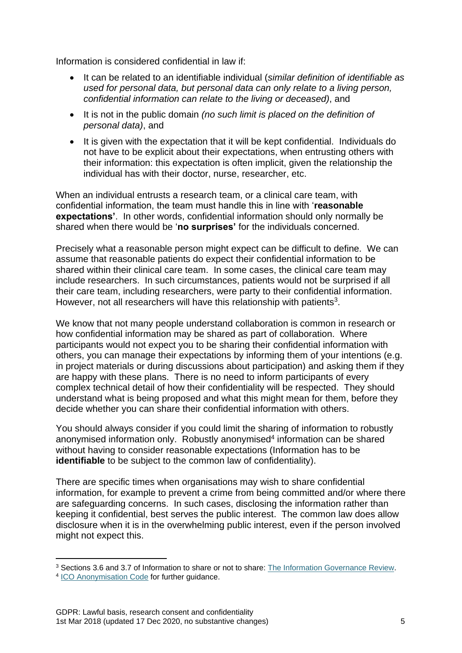Information is considered confidential in law if:

- It can be related to an identifiable individual (*similar definition of identifiable as used for personal data, but personal data can only relate to a living person, confidential information can relate to the living or deceased)*, and
- It is not in the public domain *(no such limit is placed on the definition of personal data)*, and
- It is given with the expectation that it will be kept confidential. Individuals do not have to be explicit about their expectations, when entrusting others with their information: this expectation is often implicit, given the relationship the individual has with their doctor, nurse, researcher, etc.

When an individual entrusts a research team, or a clinical care team, with confidential information, the team must handle this in line with '**reasonable expectations'**. In other words, confidential information should only normally be shared when there would be '**no surprises'** for the individuals concerned.

Precisely what a reasonable person might expect can be difficult to define. We can assume that reasonable patients do expect their confidential information to be shared within their clinical care team. In some cases, the clinical care team may include researchers. In such circumstances, patients would not be surprised if all their care team, including researchers, were party to their confidential information. However, not all researchers will have this relationship with patients<sup>3</sup>.

We know that not many people understand collaboration is common in research or how confidential information may be shared as part of collaboration. Where participants would not expect you to be sharing their confidential information with others, you can manage their expectations by informing them of your intentions (e.g. in project materials or during discussions about participation) and asking them if they are happy with these plans. There is no need to inform participants of every complex technical detail of how their confidentiality will be respected. They should understand what is being proposed and what this might mean for them, before they decide whether you can share their confidential information with others.

You should always consider if you could limit the sharing of information to robustly anonymised information only. Robustly anonymised<sup>4</sup> information can be shared without having to consider reasonable expectations (Information has to be *identifiable* to be subject to the common law of confidentiality).

There are specific times when organisations may wish to share confidential information, for example to prevent a crime from being committed and/or where there are safeguarding concerns. In such cases, disclosing the information rather than keeping it confidential, best serves the public interest. The common law does allow disclosure when it is in the overwhelming public interest, even if the person involved might not expect this.

<sup>&</sup>lt;sup>3</sup> Sections 3.6 and 3.7 of Information to share or not to share: [The Information Governance Review.](https://www.gov.uk/government/uploads/system/uploads/attachment_data/file/192572/2900774_InfoGovernance_accv2.pdf) 4 [ICO Anonymisation Code](https://ico.org.uk/media/for-organisations/documents/1061/anonymisation-code.pdf) for further guidance.

GDPR: Lawful basis, research consent and confidentiality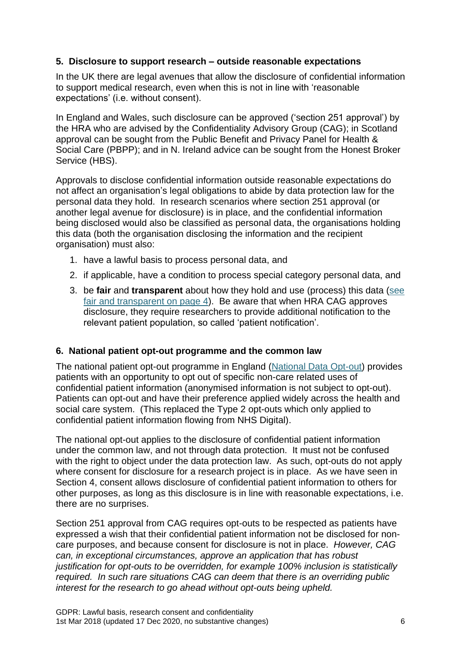# **5. Disclosure to support research – outside reasonable expectations**

In the UK there are legal avenues that allow the disclosure of confidential information to support medical research, even when this is not in line with 'reasonable expectations' (i.e. without consent).

In England and Wales, such disclosure can be approved ('section 251 approval') by the HRA who are advised by the Confidentiality Advisory Group (CAG); in Scotland approval can be sought from the Public Benefit and Privacy Panel for Health & Social Care (PBPP); and in N. Ireland advice can be sought from the Honest Broker Service (HBS).

Approvals to disclose confidential information outside reasonable expectations do not affect an organisation's legal obligations to abide by data protection law for the personal data they hold. In research scenarios where section 251 approval (or another legal avenue for disclosure) is in place, and the confidential information being disclosed would also be classified as personal data, the organisations holding this data (both the organisation disclosing the information and the recipient organisation) must also:

- 1. have a lawful basis to process personal data, and
- <span id="page-5-0"></span>2. if applicable, have a condition to process special category personal data, and
- 3. be **fair** and **transparent** about how they hold and use (process) this data [\(see](#page-3-1) [fair and transparent on page 4\).](#page-3-1) Be aware that when HRA CAG approves disclosure, they require researchers to provide additional notification to the relevant patient population, so called 'patient notification'.

## **6. National patient opt-out programme and the common law**

The national patient opt-out programme in England [\(National Data Opt-out\)](https://digital.nhs.uk/national-data-opt-out) provides patients with an opportunity to opt out of specific non-care related uses of confidential patient information (anonymised information is not subject to opt-out). Patients can opt-out and have their preference applied widely across the health and social care system. (This replaced the Type 2 opt-outs which only applied to confidential patient information flowing from NHS Digital).

The national opt-out applies to the disclosure of confidential patient information under the common law, and not through data protection. It must not be confused with the right to object under the data protection law. As such, opt-outs do not apply where consent for disclosure for a research project is in place. As we have seen in Section 4, consent allows disclosure of confidential patient information to others for other purposes, as long as this disclosure is in line with reasonable expectations, i.e. there are no surprises.

Section 251 approval from CAG requires opt-outs to be respected as patients have expressed a wish that their confidential patient information not be disclosed for noncare purposes, and because consent for disclosure is not in place. *However, CAG can, in exceptional circumstances, approve an application that has robust justification for opt-outs to be overridden, for example 100% inclusion is statistically required. In such rare situations CAG can deem that there is an overriding public interest for the research to go ahead without opt-outs being upheld.*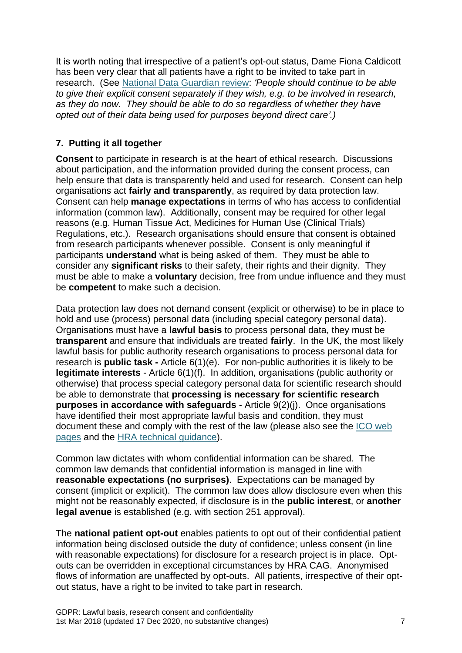It is worth noting that irrespective of a patient's opt-out status, Dame Fiona Caldicott has been very clear that all patients have a right to be invited to take part in research. (See [National Data Guardian](https://www.gov.uk/government/uploads/system/uploads/attachment_data/file/535024/data-security-review.PDF) review: *'People should continue to be able to give their explicit consent separately if they wish, e.g. to be involved in research, as they do now. They should be able to do so regardless of whether they have opted out of their data being used for purposes beyond direct care'.)* 

# **7. Putting it all together**

**Consent** to participate in research is at the heart of ethical research. Discussions about participation, and the information provided during the consent process, can help ensure that data is transparently held and used for research. Consent can help organisations act **fairly and transparently**, as required by data protection law. Consent can help **manage expectations** in terms of who has access to confidential information (common law). Additionally, consent may be required for other legal reasons (e.g. Human Tissue Act, Medicines for Human Use (Clinical Trials) Regulations, etc.). Research organisations should ensure that consent is obtained from research participants whenever possible. Consent is only meaningful if participants **understand** what is being asked of them. They must be able to consider any **significant risks** to their safety, their rights and their dignity. They must be able to make a **voluntary** decision, free from undue influence and they must be **competent** to make such a decision.

Data protection law does not demand consent (explicit or otherwise) to be in place to hold and use (process) personal data (including special category personal data). Organisations must have a **lawful basis** to process personal data, they must be **transparent** and ensure that individuals are treated **fairly**. In the UK, the most likely lawful basis for public authority research organisations to process personal data for research is **public task -** Article 6(1)(e). For non-public authorities it is likely to be **legitimate interests** - Article 6(1)(f). In addition, organisations (public authority or otherwise) that process special category personal data for scientific research should be able to demonstrate that **processing is necessary for scientific research purposes in accordance with safeguards** - Article 9(2)(j). Once organisations have identified their most appropriate lawful basis and condition, they must document these and comply with the rest of the law (please also see the [ICO web](https://ico.org.uk/for-organisations/guide-to-the-general-data-protection-regulation-gdpr/)  [pages](https://ico.org.uk/for-organisations/guide-to-the-general-data-protection-regulation-gdpr/) and the [HRA technical guidance\)](https://www.hra.nhs.uk/planning-and-improving-research/policies-standards-legislation/data-protection-and-information-governance/gdpr-detailed-guidance/).

Common law dictates with whom confidential information can be shared. The common law demands that confidential information is managed in line with **reasonable expectations (no surprises)**. Expectations can be managed by consent (implicit or explicit). The common law does allow disclosure even when this might not be reasonably expected, if disclosure is in the **public interest**, or **another legal avenue** is established (e.g. with section 251 approval).

The **national patient opt-out** enables patients to opt out of their confidential patient information being disclosed outside the duty of confidence; unless consent (in line with reasonable expectations) for disclosure for a research project is in place. Optouts can be overridden in exceptional circumstances by HRA CAG. Anonymised flows of information are unaffected by opt-outs. All patients, irrespective of their optout status, have a right to be invited to take part in research.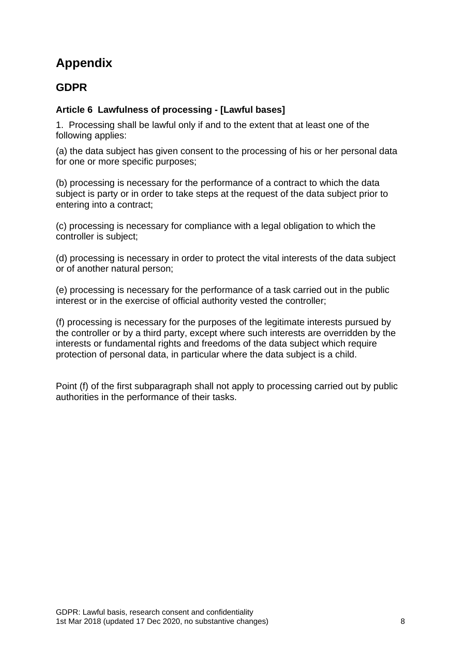# **Appendix**

# **GDPR**

# **Article 6 Lawfulness of processing - [Lawful bases]**

1. Processing shall be lawful only if and to the extent that at least one of the following applies:

(a) the data subject has given consent to the processing of his or her personal data for one or more specific purposes;

(b) processing is necessary for the performance of a contract to which the data subject is party or in order to take steps at the request of the data subject prior to entering into a contract;

(c) processing is necessary for compliance with a legal obligation to which the controller is subject;

(d) processing is necessary in order to protect the vital interests of the data subject or of another natural person;

(e) processing is necessary for the performance of a task carried out in the public interest or in the exercise of official authority vested the controller;

(f) processing is necessary for the purposes of the legitimate interests pursued by the controller or by a third party, except where such interests are overridden by the interests or fundamental rights and freedoms of the data subject which require protection of personal data, in particular where the data subject is a child.

Point (f) of the first subparagraph shall not apply to processing carried out by public authorities in the performance of their tasks.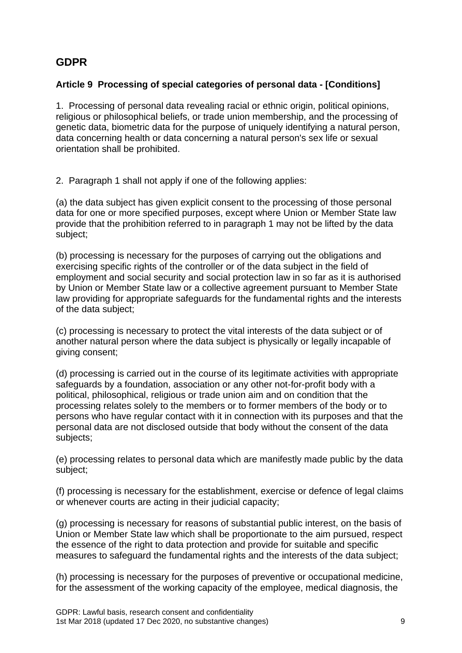# **GDPR**

# **Article 9 Processing of special categories of personal data - [Conditions]**

1. Processing of personal data revealing racial or ethnic origin, political opinions, religious or philosophical beliefs, or trade union membership, and the processing of genetic data, biometric data for the purpose of uniquely identifying a natural person, data concerning health or data concerning a natural person's sex life or sexual orientation shall be prohibited.

2. Paragraph 1 shall not apply if one of the following applies:

(a) the data subject has given explicit consent to the processing of those personal data for one or more specified purposes, except where Union or Member State law provide that the prohibition referred to in paragraph 1 may not be lifted by the data subject;

(b) processing is necessary for the purposes of carrying out the obligations and exercising specific rights of the controller or of the data subject in the field of employment and social security and social protection law in so far as it is authorised by Union or Member State law or a collective agreement pursuant to Member State law providing for appropriate safeguards for the fundamental rights and the interests of the data subject;

(c) processing is necessary to protect the vital interests of the data subject or of another natural person where the data subject is physically or legally incapable of giving consent;

(d) processing is carried out in the course of its legitimate activities with appropriate safeguards by a foundation, association or any other not-for-profit body with a political, philosophical, religious or trade union aim and on condition that the processing relates solely to the members or to former members of the body or to persons who have regular contact with it in connection with its purposes and that the personal data are not disclosed outside that body without the consent of the data subjects;

(e) processing relates to personal data which are manifestly made public by the data subject;

(f) processing is necessary for the establishment, exercise or defence of legal claims or whenever courts are acting in their judicial capacity;

(g) processing is necessary for reasons of substantial public interest, on the basis of Union or Member State law which shall be proportionate to the aim pursued, respect the essence of the right to data protection and provide for suitable and specific measures to safeguard the fundamental rights and the interests of the data subject;

(h) processing is necessary for the purposes of preventive or occupational medicine, for the assessment of the working capacity of the employee, medical diagnosis, the